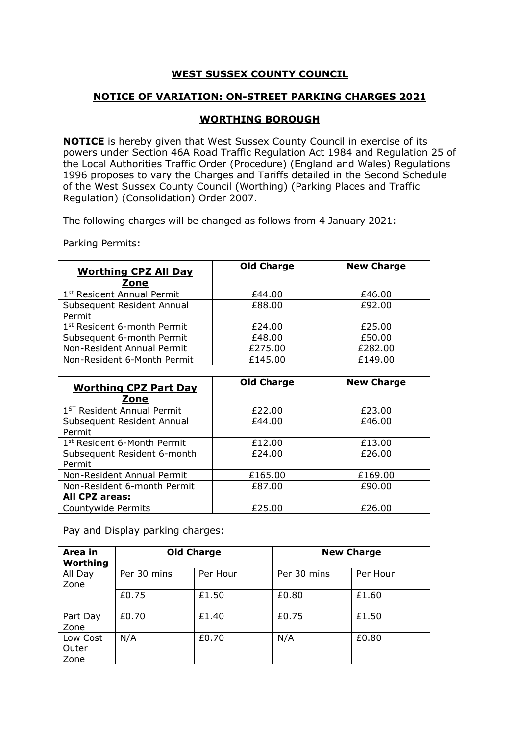## **WEST SUSSEX COUNTY COUNCIL**

## **NOTICE OF VARIATION: ON-STREET PARKING CHARGES 2021**

## **WORTHING BOROUGH**

**NOTICE** is hereby given that West Sussex County Council in exercise of its powers under Section 46A Road Traffic Regulation Act 1984 and Regulation 25 of the Local Authorities Traffic Order (Procedure) (England and Wales) Regulations 1996 proposes to vary the Charges and Tariffs detailed in the Second Schedule of the West Sussex County Council (Worthing) (Parking Places and Traffic Regulation) (Consolidation) Order 2007.

The following charges will be changed as follows from 4 January 2021:

Parking Permits:

| <b>Worthing CPZ All Day</b><br>Zone     | <b>Old Charge</b> | <b>New Charge</b> |
|-----------------------------------------|-------------------|-------------------|
| 1 <sup>st</sup> Resident Annual Permit  | £44.00            | £46.00            |
| Subsequent Resident Annual<br>Permit    | £88.00            | £92.00            |
| 1 <sup>st</sup> Resident 6-month Permit | £24.00            | £25.00            |
| Subsequent 6-month Permit               | £48.00            | £50.00            |
| Non-Resident Annual Permit              | £275.00           | £282.00           |
| Non-Resident 6-Month Permit             | £145.00           | £149.00           |

| <b>Worthing CPZ Part Day</b><br>Zone   | <b>Old Charge</b> | <b>New Charge</b> |
|----------------------------------------|-------------------|-------------------|
| 1 <sup>ST</sup> Resident Annual Permit | £22.00            | £23.00            |
| Subsequent Resident Annual<br>Permit   | £44.00            | £46.00            |
| 1st Resident 6-Month Permit            | £12.00            | £13.00            |
| Subsequent Resident 6-month<br>Permit  | £24.00            | £26.00            |
| Non-Resident Annual Permit             | £165.00           | £169.00           |
| Non-Resident 6-month Permit            | £87.00            | £90.00            |
| All CPZ areas:                         |                   |                   |
| Countywide Permits                     | £25.00            | £26.00            |

Pay and Display parking charges:

| Area in<br>Worthing       |             | <b>Old Charge</b> |             | <b>New Charge</b> |
|---------------------------|-------------|-------------------|-------------|-------------------|
| All Day<br>Zone           | Per 30 mins | Per Hour          | Per 30 mins | Per Hour          |
|                           | £0.75       | £1.50             | £0.80       | £1.60             |
| Part Day<br>Zone          | £0.70       | £1.40             | £0.75       | £1.50             |
| Low Cost<br>Outer<br>Zone | N/A         | £0.70             | N/A         | £0.80             |